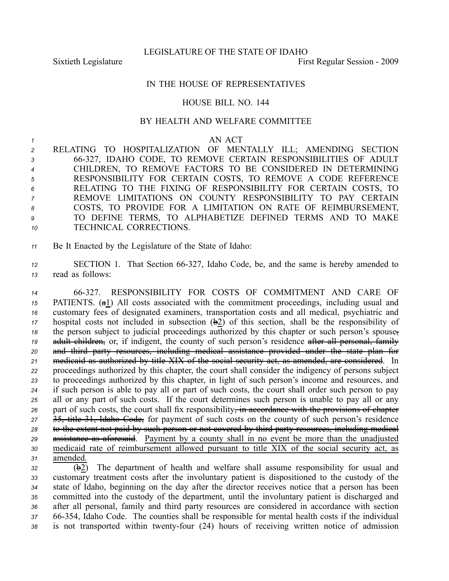LEGISLATURE OF THE STATE OF IDAHO

Sixtieth Legislature First Regular Session - 2009

## IN THE HOUSE OF REPRESENTATIVES

## HOUSE BILL NO. 144

## BY HEALTH AND WELFARE COMMITTEE

## *<sup>1</sup>* AN ACT

 RELATING TO HOSPITALIZATION OF MENTALLY ILL; AMENDING SECTION 66327, IDAHO CODE, TO REMOVE CERTAIN RESPONSIBILITIES OF ADULT CHILDREN, TO REMOVE FACTORS TO BE CONSIDERED IN DETERMINING RESPONSIBILITY FOR CERTAIN COSTS, TO REMOVE A CODE REFERENCE RELATING TO THE FIXING OF RESPONSIBILITY FOR CERTAIN COSTS, TO REMOVE LIMITATIONS ON COUNTY RESPONSIBILITY TO PAY CERTAIN COSTS, TO PROVIDE FOR A LIMITATION ON RATE OF REIMBURSEMENT, TO DEFINE TERMS, TO ALPHABETIZE DEFINED TERMS AND TO MAKE TECHNICAL CORRECTIONS.

*<sup>11</sup>* Be It Enacted by the Legislature of the State of Idaho:

*<sup>12</sup>* SECTION 1. That Section 66327, Idaho Code, be, and the same is hereby amended to *<sup>13</sup>* read as follows:

 66327. RESPONSIBILITY FOR COSTS OF COMMITMENT AND CARE OF PATIENTS. (a1) All costs associated with the commitment proceedings, including usual and customary fees of designated examiners, transportation costs and all medical, psychiatric and hospital costs not included in subsection  $(\frac{1}{2})$  of this section, shall be the responsibility of the person subject to judicial proceedings authorized by this chapter or such person's spouse, 19 adult children, or, if indigent, the county of such person's residence after all personal, family and third party resources, including medical assistance provided under the state plan for medicaid as authorized by title XIX of the social security act, as amended, are considered. In proceedings authorized by this chapter, the court shall consider the indigency of persons subject to proceedings authorized by this chapter, in light of such person's income and resources, and if such person is able to pay all or par<sup>t</sup> of such costs, the court shall order such person to pay all or any par<sup>t</sup> of such costs. If the court determines such person is unable to pay all or any 26 part of such costs, the court shall fix responsibility, in accordance with the provisions of chapter 35, title 31, Idaho Code, for paymen<sup>t</sup> of such costs on the county of such person's residence to the extent not paid by such person or not covered by third party resources, including medical 29 assistance as aforesaid. Payment by a county shall in no event be more than the unadjusted medicaid rate of reimbursement allowed pursuan<sup>t</sup> to title XIX of the social security act, as *<sup>31</sup>* amended.

 (b2) The department of health and welfare shall assume responsibility for usual and customary treatment costs after the involuntary patient is dispositioned to the custody of the state of Idaho, beginning on the day after the director receives notice that <sup>a</sup> person has been committed into the custody of the department, until the involuntary patient is discharged and after all personal, family and third party resources are considered in accordance with section 66354, Idaho Code. The counties shall be responsible for mental health costs if the individual 38 is not transported within twenty-four (24) hours of receiving written notice of admission